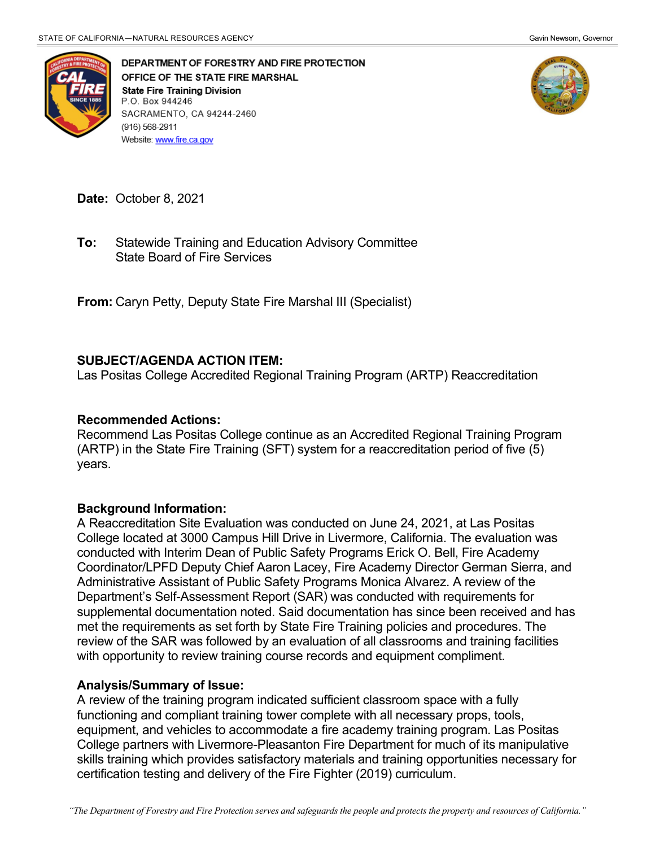

DEPARTMENT OF FORESTRY AND FIRE PROTECTION OFFICE OF THE STATE FIRE MARSHAL **State Fire Training Division** P.O. Box 944246 SACRAMENTO, CA 94244-2460 (916) 568-2911 Website: www.fire.ca.gov



**Date:** October 8, 2021

 State Board of Fire Services **To:** Statewide Training and Education Advisory Committee

**From:** Caryn Petty, Deputy State Fire Marshal III (Specialist)

## **SUBJECT/AGENDA ACTION ITEM:**

Las Positas College Accredited Regional Training Program (ARTP) Reaccreditation

## **Recommended Actions:**

 (ARTP) in the State Fire Training (SFT) system for a reaccreditation period of five (5) Recommend Las Positas College continue as an Accredited Regional Training Program years.

## **Background Information:**

 conducted with Interim Dean of Public Safety Programs Erick O. Bell, Fire Academy Coordinator/LPFD Deputy Chief Aaron Lacey, Fire Academy Director German Sierra, and Administrative Assistant of Public Safety Programs Monica Alvarez. A review of the supplemental documentation noted. Said documentation has since been received and has met the requirements as set forth by State Fire Training policies and procedures. The review of the SAR was followed by an evaluation of all classrooms and training facilities A Reaccreditation Site Evaluation was conducted on June 24, 2021, at Las Positas College located at 3000 Campus Hill Drive in Livermore, California. The evaluation was Department's Self-Assessment Report (SAR) was conducted with requirements for with opportunity to review training course records and equipment compliment.

## **Analysis/Summary of Issue:**

 A review of the training program indicated sufficient classroom space with a fully functioning and compliant training tower complete with all necessary props, tools, College partners with Livermore-Pleasanton Fire Department for much of its manipulative skills training which provides satisfactory materials and training opportunities necessary for certification testing and delivery of the Fire Fighter (2019) curriculum. equipment, and vehicles to accommodate a fire academy training program. Las Positas